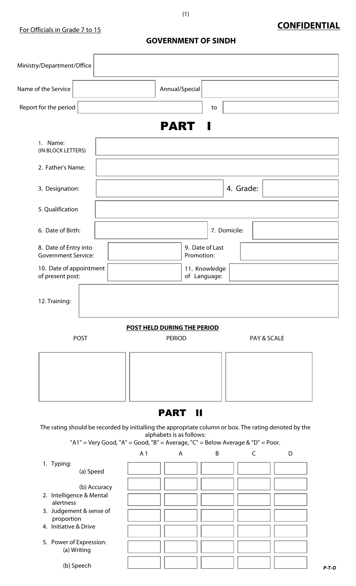# **CONFIDENTIAL**

**GOVERNMENT OF SINDH**

| Ministry/Department/Office                  |                                                     |                                                                                       |                                          |                               |              |                                                                                                            |         |
|---------------------------------------------|-----------------------------------------------------|---------------------------------------------------------------------------------------|------------------------------------------|-------------------------------|--------------|------------------------------------------------------------------------------------------------------------|---------|
| Name of the Service                         |                                                     |                                                                                       | Annual/Special                           |                               |              |                                                                                                            |         |
| Report for the period                       |                                                     |                                                                                       |                                          | to                            |              |                                                                                                            |         |
|                                             |                                                     |                                                                                       | <b>PART</b>                              | a ka                          |              |                                                                                                            |         |
| 1. Name:<br>(IN BLOCK LETTERS)              |                                                     |                                                                                       |                                          |                               |              |                                                                                                            |         |
| 2. Father's Name:                           |                                                     |                                                                                       |                                          |                               |              |                                                                                                            |         |
| 3. Designation:                             |                                                     |                                                                                       |                                          |                               | 4. Grade:    |                                                                                                            |         |
| 5. Qualification                            |                                                     |                                                                                       |                                          |                               |              |                                                                                                            |         |
| 6. Date of Birth:                           |                                                     |                                                                                       |                                          | 7. Domicile:                  |              |                                                                                                            |         |
|                                             | 8. Date of Entry into<br><b>Government Service:</b> |                                                                                       |                                          | 9. Date of Last<br>Promotion: |              |                                                                                                            |         |
| 10. Date of appointment<br>of present post: |                                                     |                                                                                       |                                          | 11. Knowledge<br>of Language: |              |                                                                                                            |         |
| 12. Training:                               |                                                     |                                                                                       |                                          |                               |              |                                                                                                            |         |
|                                             |                                                     |                                                                                       | <b>POST HELD DURING THE PERIOD</b>       |                               |              |                                                                                                            |         |
|                                             | <b>PERIOD</b><br><b>POST</b><br>PAY & SCALE         |                                                                                       |                                          |                               |              |                                                                                                            |         |
|                                             |                                                     |                                                                                       |                                          |                               |              |                                                                                                            |         |
|                                             |                                                     |                                                                                       | <b>PART</b><br><b>II</b>                 |                               |              |                                                                                                            |         |
|                                             |                                                     | "A1" = Very Good, "A" = Good, "B" = Average, "C" = Below Average & "D" = Poor.<br>A 1 | alphabets is as follows:<br>$\mathsf{A}$ | $\sf B$                       | $\mathsf{C}$ | The rating should be recorded by initialling the appropriate column or box. The rating denoted by the<br>D |         |
| 1. Typing:                                  |                                                     |                                                                                       |                                          |                               |              |                                                                                                            |         |
|                                             | (a) Speed                                           |                                                                                       |                                          |                               |              |                                                                                                            |         |
| 2. Intelligence & Mental                    | (b) Accuracy                                        |                                                                                       |                                          |                               |              |                                                                                                            |         |
| alertness                                   | 3. Judgement & sense of                             |                                                                                       |                                          |                               |              |                                                                                                            |         |
| proportion<br>4. Initiative & Drive         |                                                     |                                                                                       |                                          |                               |              |                                                                                                            |         |
| 5. Power of Expression:                     | (a) Writing                                         |                                                                                       |                                          |                               |              |                                                                                                            |         |
|                                             | (b) Speech                                          |                                                                                       |                                          |                               |              |                                                                                                            | $P-T-O$ |

(1)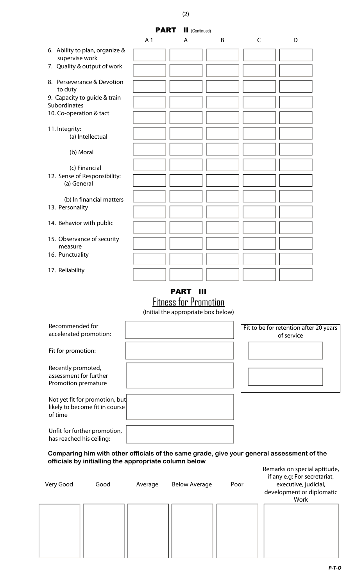

## PART III

Fitness for Promotion

(Initial the appropriate box below)

| Recommended for<br>accelerated promotion:                                   | Fit to be for retention after 20 years<br>of service |
|-----------------------------------------------------------------------------|------------------------------------------------------|
| Fit for promotion:                                                          |                                                      |
| Recently promoted,<br>assessment for further<br>Promotion premature         |                                                      |
| Not yet fit for promotion, but<br>likely to become fit in course<br>of time |                                                      |
| Unfit for further promotion,<br>has reached his ceiling:                    |                                                      |

**Comparing him with other officials of the same grade, give your general assessment of the officials by initialling the appropriate column below**

| Very Good | Good | Average | <b>Below Average</b> | Poor | if any e.g: For secretariat,<br>executive, judicial,<br>development or diplomatic<br>Work |
|-----------|------|---------|----------------------|------|-------------------------------------------------------------------------------------------|
|           |      |         |                      |      |                                                                                           |

(2)

*P-T-O*

Remarks on special aptitude,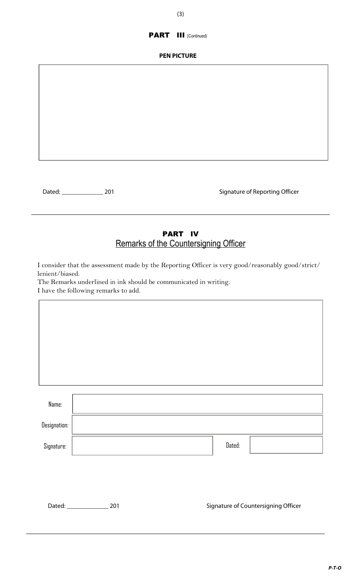### PART III (Continued)

#### **PEN PICTURE**

Dated: \_\_\_\_\_\_\_\_\_\_\_\_\_ 201 Signature of Reporting Officer

## PART IV Remarks of the Countersigning Officer

I consider that the assessment made by the Reporting Officer is very good/reasonably good/strict/ lenient/biased.

The Remarks underlined in ink should be communicated in writing.

I have the following remarks to add.

Dated: \_\_\_\_\_\_\_\_\_\_\_\_\_\_\_\_\_\_\_\_\_\_\_ 201 ated: Signature of Countersigning Officer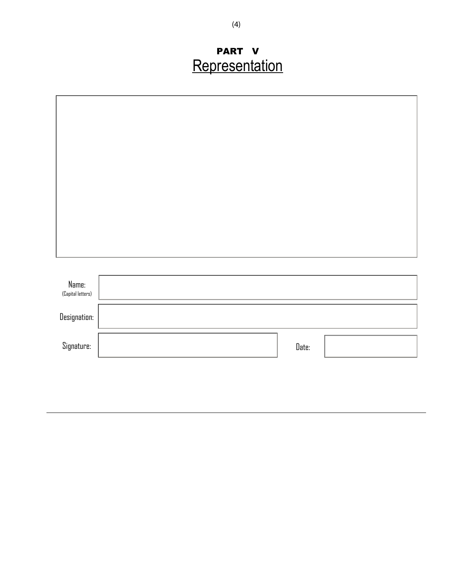# PART V Representation

| Name:             |       |  |
|-------------------|-------|--|
| (Capital letters) |       |  |
| Designation:      |       |  |
| Signature:        | Date: |  |
|                   |       |  |